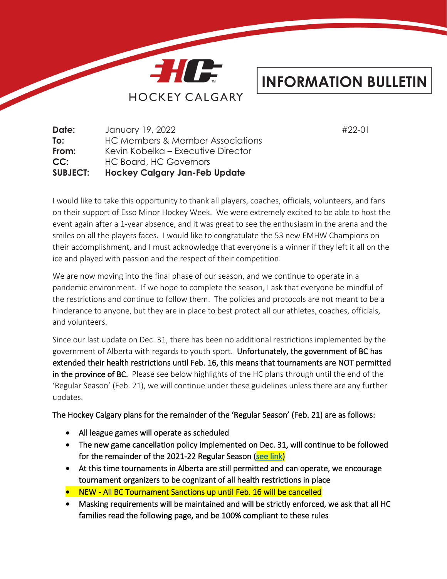

## **INFORMATION BULLETIN**

**Date:** January 19, 2022 #22-01 **To:** HC Members & Member Associations **From:** Kevin Kobelka – Executive Director **CC:** HC Board, HC Governors **SUBJECT: Hockey Calgary Jan-Feb Update**

I would like to take this opportunity to thank all players, coaches, officials, volunteers, and fans on their support of Esso Minor Hockey Week. We were extremely excited to be able to host the event again after a 1-year absence, and it was great to see the enthusiasm in the arena and the smiles on all the players faces. I would like to congratulate the 53 new EMHW Champions on their accomplishment, and I must acknowledge that everyone is a winner if they left it all on the ice and played with passion and the respect of their competition.

We are now moving into the final phase of our season, and we continue to operate in a pandemic environment. If we hope to complete the season, I ask that everyone be mindful of the restrictions and continue to follow them. The policies and protocols are not meant to be a hinderance to anyone, but they are in place to best protect all our athletes, coaches, officials, and volunteers.

Since our last update on Dec. 31, there has been no additional restrictions implemented by the government of Alberta with regards to youth sport. Unfortunately, the government of BC has extended their health restrictions until Feb. 16, this means that tournaments are NOT permitted in the province of BC. Please see below highlights of the HC plans through until the end of the 'Regular Season' (Feb. 21), we will continue under these guidelines unless there are any further updates.

The Hockey Calgary plans for the remainder of the 'Regular Season' (Feb. 21) are as follows:

- All league games will operate as scheduled
- The new game cancellation policy implemented on Dec. 31, will continue to be followed for the remainder of the 2021-22 Regular Season [\(see link\)](https://www.hockeycalgary.ca/assets/file/Operations/covid/Covid_Game_Cancellation_and_Rescheduling_Protocol_External.pdf)
- At this time tournaments in Alberta are still permitted and can operate, we encourage tournament organizers to be cognizant of all health restrictions in place
- NEW All BC Tournament Sanctions up until Feb. 16 will be cancelled
- Masking requirements will be maintained and will be strictly enforced, we ask that all HC families read the following page, and be 100% compliant to these rules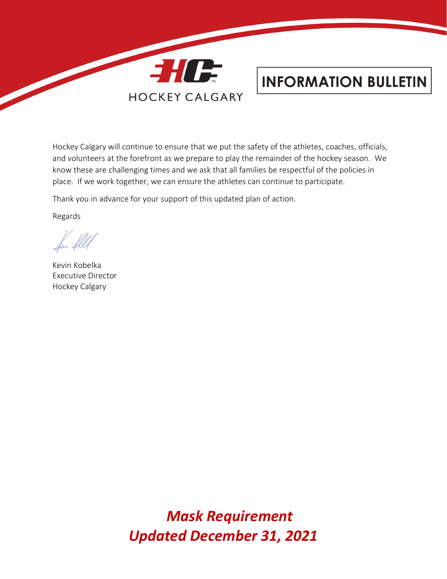

## **INFORMATION BULLETIN**

Hockey Calgary will continue to ensure that we put the safety of the athletes, coaches, officials, and volunteers at the forefront as we prepare to play the remainder of the hockey season. We know these are challenging times and we ask that all families be respectful of the policies in place. If we work together, we can ensure the athletes can continue to participate.

Thank you in advance for your support of this updated plan of action.

Regards

Kevin Kobelka Executive Director Hockey Calgary

*Mask Requirement Updated December 31, 2021*